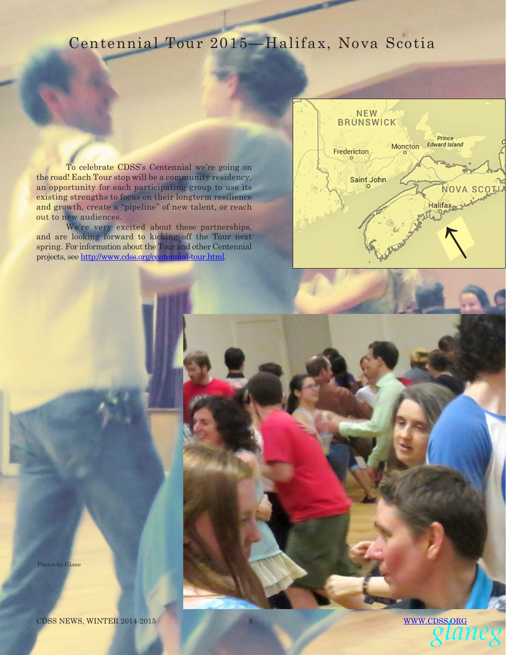## Centennial Tour 2015**—**Halifax, Nova Scotia

To celebrate CDSS's Centennial we're going on the road! Each Tour stop will be a community residency, an opportunity for each participating group to use its existing strengths to focus on their longterm resilience and growth, create a "pipeline" of new talent, or reach out to new audiences.

We're very excited about these partnerships, and are looking forward to kicking off the Tour next spring. For information about the Tour and other Centennial We're very excited about these partnerships,<br>and are looking forward to kicking off the Tour next<br>spring. For information about the Tour and other Centennial<br>projects, see <u>http://www.cdss.org/centennial-tour.html</u>.



Photos by Glane